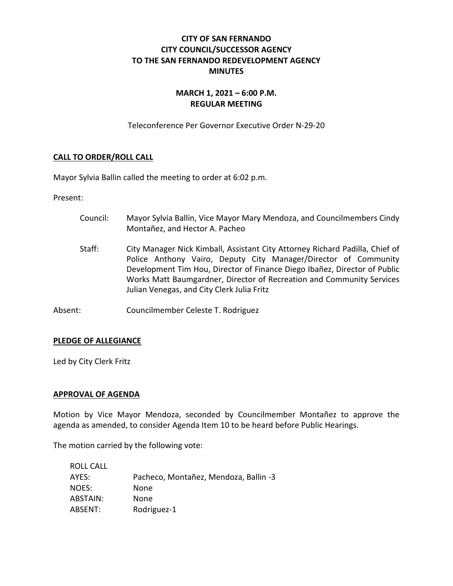# **CITY OF SAN FERNANDO CITY COUNCIL/SUCCESSOR AGENCY TO THE SAN FERNANDO REDEVELOPMENT AGENCY MINUTES**

# **MARCH 1, 2021 – 6:00 P.M. REGULAR MEETING**

Teleconference Per Governor Executive Order N-29-20

## **CALL TO ORDER/ROLL CALL**

Mayor Sylvia Ballin called the meeting to order at 6:02 p.m.

Present:

- Council: Mayor Sylvia Ballin, Vice Mayor Mary Mendoza, and Councilmembers Cindy Montañez, and Hector A. Pacheo
- Staff: City Manager Nick Kimball, Assistant City Attorney Richard Padilla, Chief of Police Anthony Vairo, Deputy City Manager/Director of Community Development Tim Hou, Director of Finance Diego Ibañez, Director of Public Works Matt Baumgardner, Director of Recreation and Community Services Julian Venegas, and City Clerk Julia Fritz
- Absent: Councilmember Celeste T. Rodriguez

#### **PLEDGE OF ALLEGIANCE**

Led by City Clerk Fritz

#### **APPROVAL OF AGENDA**

Motion by Vice Mayor Mendoza, seconded by Councilmember Montañez to approve the agenda as amended, to consider Agenda Item 10 to be heard before Public Hearings.

The motion carried by the following vote:

| ROLL CALL |                                       |
|-----------|---------------------------------------|
| AYES:     | Pacheco, Montañez, Mendoza, Ballin -3 |
| NOES:     | None                                  |
| ABSTAIN:  | None                                  |
| ABSENT:   | Rodriguez-1                           |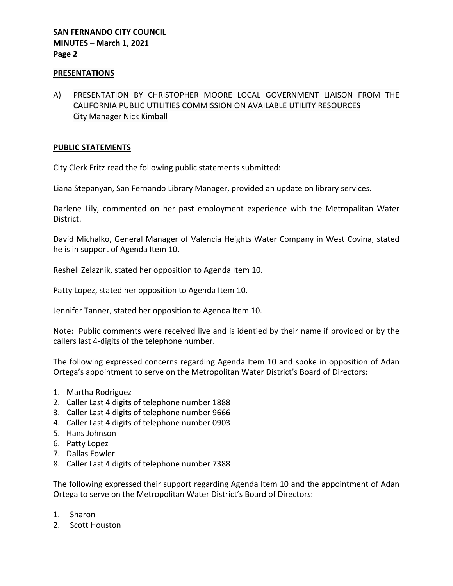### **PRESENTATIONS**

A) PRESENTATION BY CHRISTOPHER MOORE LOCAL GOVERNMENT LIAISON FROM THE CALIFORNIA PUBLIC UTILITIES COMMISSION ON AVAILABLE UTILITY RESOURCES City Manager Nick Kimball

## **PUBLIC STATEMENTS**

City Clerk Fritz read the following public statements submitted:

Liana Stepanyan, San Fernando Library Manager, provided an update on library services.

Darlene Lily, commented on her past employment experience with the Metropalitan Water District.

David Michalko, General Manager of Valencia Heights Water Company in West Covina, stated he is in support of Agenda Item 10.

Reshell Zelaznik, stated her opposition to Agenda Item 10.

Patty Lopez, stated her opposition to Agenda Item 10.

Jennifer Tanner, stated her opposition to Agenda Item 10.

Note: Public comments were received live and is identied by their name if provided or by the callers last 4-digits of the telephone number.

The following expressed concerns regarding Agenda Item 10 and spoke in opposition of Adan Ortega's appointment to serve on the Metropolitan Water District's Board of Directors:

- 1. Martha Rodriguez
- 2. Caller Last 4 digits of telephone number 1888
- 3. Caller Last 4 digits of telephone number 9666
- 4. Caller Last 4 digits of telephone number 0903
- 5. Hans Johnson
- 6. Patty Lopez
- 7. Dallas Fowler
- 8. Caller Last 4 digits of telephone number 7388

The following expressed their support regarding Agenda Item 10 and the appointment of Adan Ortega to serve on the Metropolitan Water District's Board of Directors:

- 1. Sharon
- 2. Scott Houston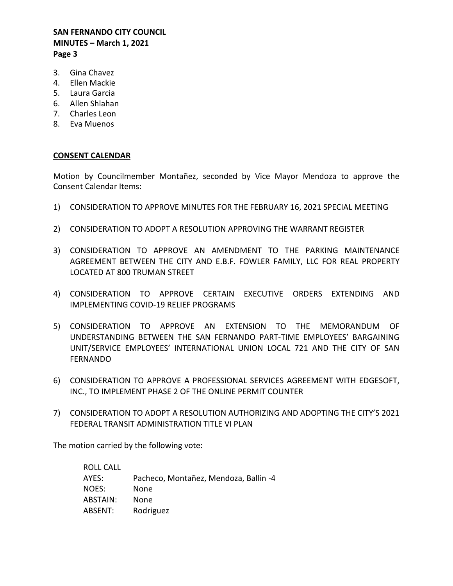- 3. Gina Chavez
- 4. Ellen Mackie
- 5. Laura Garcia
- 6. Allen Shlahan
- 7. Charles Leon
- 8. Eva Muenos

## **CONSENT CALENDAR**

Motion by Councilmember Montañez, seconded by Vice Mayor Mendoza to approve the Consent Calendar Items:

- 1) CONSIDERATION TO APPROVE MINUTES FOR THE FEBRUARY 16, 2021 SPECIAL MEETING
- 2) CONSIDERATION TO ADOPT A RESOLUTION APPROVING THE WARRANT REGISTER
- 3) CONSIDERATION TO APPROVE AN AMENDMENT TO THE PARKING MAINTENANCE AGREEMENT BETWEEN THE CITY AND E.B.F. FOWLER FAMILY, LLC FOR REAL PROPERTY LOCATED AT 800 TRUMAN STREET
- 4) CONSIDERATION TO APPROVE CERTAIN EXECUTIVE ORDERS EXTENDING AND IMPLEMENTING COVID-19 RELIEF PROGRAMS
- 5) CONSIDERATION TO APPROVE AN EXTENSION TO THE MEMORANDUM OF UNDERSTANDING BETWEEN THE SAN FERNANDO PART-TIME EMPLOYEES' BARGAINING UNIT/SERVICE EMPLOYEES' INTERNATIONAL UNION LOCAL 721 AND THE CITY OF SAN FERNANDO
- 6) CONSIDERATION TO APPROVE A PROFESSIONAL SERVICES AGREEMENT WITH EDGESOFT, INC., TO IMPLEMENT PHASE 2 OF THE ONLINE PERMIT COUNTER
- 7) CONSIDERATION TO ADOPT A RESOLUTION AUTHORIZING AND ADOPTING THE CITY'S 2021 FEDERAL TRANSIT ADMINISTRATION TITLE VI PLAN

The motion carried by the following vote:

| ROLL CALL       |                                       |
|-----------------|---------------------------------------|
| AYES:           | Pacheco, Montañez, Mendoza, Ballin -4 |
| NOES:           | None                                  |
| <b>ABSTAIN:</b> | None                                  |
| ABSENT:         | Rodriguez                             |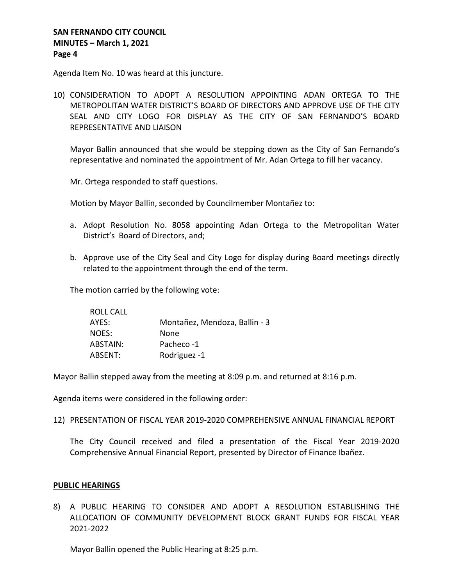Agenda Item No. 10 was heard at this juncture.

10) CONSIDERATION TO ADOPT A RESOLUTION APPOINTING ADAN ORTEGA TO THE METROPOLITAN WATER DISTRICT'S BOARD OF DIRECTORS AND APPROVE USE OF THE CITY SEAL AND CITY LOGO FOR DISPLAY AS THE CITY OF SAN FERNANDO'S BOARD REPRESENTATIVE AND LIAISON

Mayor Ballin announced that she would be stepping down as the City of San Fernando's representative and nominated the appointment of Mr. Adan Ortega to fill her vacancy.

Mr. Ortega responded to staff questions.

Motion by Mayor Ballin, seconded by Councilmember Montañez to:

- a. Adopt Resolution No. 8058 appointing Adan Ortega to the Metropolitan Water District's Board of Directors, and;
- b. Approve use of the City Seal and City Logo for display during Board meetings directly related to the appointment through the end of the term.

The motion carried by the following vote:

| ROLL CALL |                               |
|-----------|-------------------------------|
| AYES:     | Montañez, Mendoza, Ballin - 3 |
| NOES:     | None                          |
| ABSTAIN:  | Pacheco-1                     |
| ABSENT:   | Rodriguez -1                  |

Mayor Ballin stepped away from the meeting at 8:09 p.m. and returned at 8:16 p.m.

Agenda items were considered in the following order:

12) PRESENTATION OF FISCAL YEAR 2019-2020 COMPREHENSIVE ANNUAL FINANCIAL REPORT

The City Council received and filed a presentation of the Fiscal Year 2019-2020 Comprehensive Annual Financial Report, presented by Director of Finance Ibañez.

### **PUBLIC HEARINGS**

8) A PUBLIC HEARING TO CONSIDER AND ADOPT A RESOLUTION ESTABLISHING THE ALLOCATION OF COMMUNITY DEVELOPMENT BLOCK GRANT FUNDS FOR FISCAL YEAR 2021-2022

Mayor Ballin opened the Public Hearing at 8:25 p.m.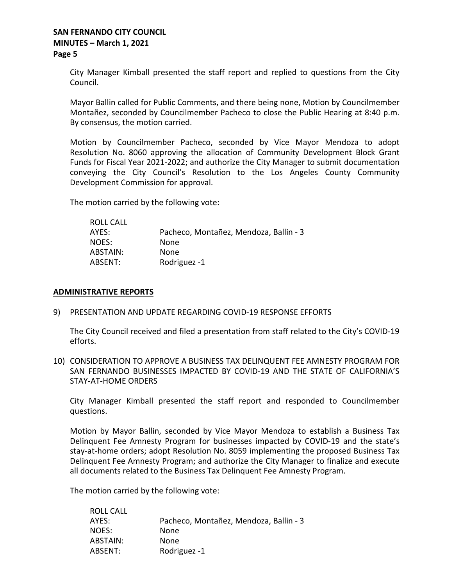City Manager Kimball presented the staff report and replied to questions from the City Council.

Mayor Ballin called for Public Comments, and there being none, Motion by Councilmember Montañez, seconded by Councilmember Pacheco to close the Public Hearing at 8:40 p.m. By consensus, the motion carried.

Motion by Councilmember Pacheco, seconded by Vice Mayor Mendoza to adopt Resolution No. 8060 approving the allocation of Community Development Block Grant Funds for Fiscal Year 2021-2022; and authorize the City Manager to submit documentation conveying the City Council's Resolution to the Los Angeles County Community Development Commission for approval.

The motion carried by the following vote:

| ROLL CALL |                                        |
|-----------|----------------------------------------|
| AYES:     | Pacheco, Montañez, Mendoza, Ballin - 3 |
| NOES:     | None                                   |
| ABSTAIN:  | <b>None</b>                            |
| ABSENT:   | Rodriguez -1                           |

#### **ADMINISTRATIVE REPORTS**

9) PRESENTATION AND UPDATE REGARDING COVID-19 RESPONSE EFFORTS

The City Council received and filed a presentation from staff related to the City's COVID-19 efforts.

10) CONSIDERATION TO APPROVE A BUSINESS TAX DELINQUENT FEE AMNESTY PROGRAM FOR SAN FERNANDO BUSINESSES IMPACTED BY COVID-19 AND THE STATE OF CALIFORNIA'S STAY-AT-HOME ORDERS

City Manager Kimball presented the staff report and responded to Councilmember questions.

Motion by Mayor Ballin, seconded by Vice Mayor Mendoza to establish a Business Tax Delinquent Fee Amnesty Program for businesses impacted by COVID-19 and the state's stay-at-home orders; adopt Resolution No. 8059 implementing the proposed Business Tax Delinquent Fee Amnesty Program; and authorize the City Manager to finalize and execute all documents related to the Business Tax Delinquent Fee Amnesty Program.

The motion carried by the following vote:

ROLL CALL

| NULL CALL |                                        |
|-----------|----------------------------------------|
| AYES:     | Pacheco, Montañez, Mendoza, Ballin - 3 |
| NOES:     | None                                   |
| ABSTAIN:  | None                                   |
| ABSENT:   | Rodriguez -1                           |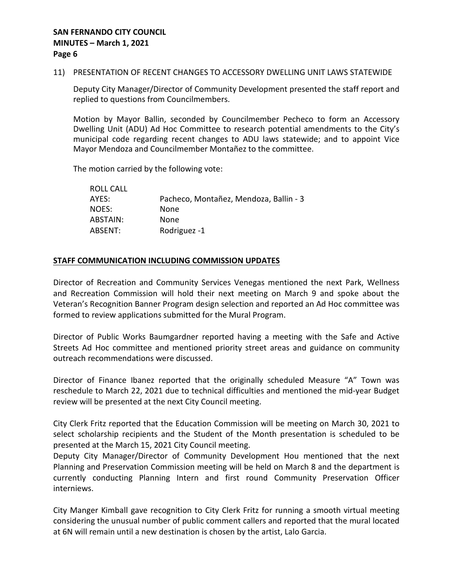#### 11) PRESENTATION OF RECENT CHANGES TO ACCESSORY DWELLING UNIT LAWS STATEWIDE

Deputy City Manager/Director of Community Development presented the staff report and replied to questions from Councilmembers.

Motion by Mayor Ballin, seconded by Councilmember Pecheco to form an Accessory Dwelling Unit (ADU) Ad Hoc Committee to research potential amendments to the City's municipal code regarding recent changes to ADU laws statewide; and to appoint Vice Mayor Mendoza and Councilmember Montañez to the committee.

The motion carried by the following vote:

| ROLL CALL |                                        |
|-----------|----------------------------------------|
| AYES:     | Pacheco, Montañez, Mendoza, Ballin - 3 |
| NOES:     | None                                   |
| ABSTAIN:  | None                                   |
| ABSENT:   | Rodriguez -1                           |

## **STAFF COMMUNICATION INCLUDING COMMISSION UPDATES**

Director of Recreation and Community Services Venegas mentioned the next Park, Wellness and Recreation Commission will hold their next meeting on March 9 and spoke about the Veteran's Recognition Banner Program design selection and reported an Ad Hoc committee was formed to review applications submitted for the Mural Program.

Director of Public Works Baumgardner reported having a meeting with the Safe and Active Streets Ad Hoc committee and mentioned priority street areas and guidance on community outreach recommendations were discussed.

Director of Finance Ibanez reported that the originally scheduled Measure "A" Town was reschedule to March 22, 2021 due to technical difficulties and mentioned the mid-year Budget review will be presented at the next City Council meeting.

City Clerk Fritz reported that the Education Commission will be meeting on March 30, 2021 to select scholarship recipients and the Student of the Month presentation is scheduled to be presented at the March 15, 2021 City Council meeting.

Deputy City Manager/Director of Community Development Hou mentioned that the next Planning and Preservation Commission meeting will be held on March 8 and the department is currently conducting Planning Intern and first round Community Preservation Officer interniews.

City Manger Kimball gave recognition to City Clerk Fritz for running a smooth virtual meeting considering the unusual number of public comment callers and reported that the mural located at 6N will remain until a new destination is chosen by the artist, Lalo Garcia.